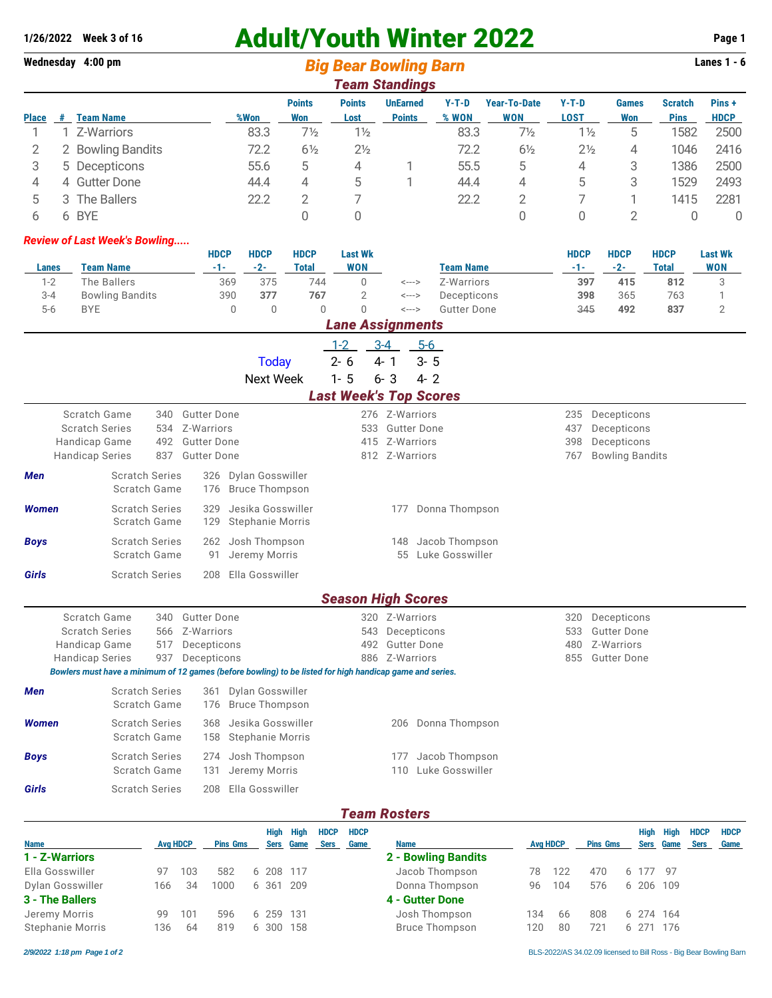# 1/26/2022 Week 3 of 16 **Adult/Youth Winter 2022** Page 1

**Wednesday 4:00 pm** *Big Bear Bowling Barn* **Lanes 1 - 6** *Team Standings*

| I Galli Ətdilüllüs |    |                        |      |                      |                       |                                  |                |                            |                        |                     |                               |                       |
|--------------------|----|------------------------|------|----------------------|-----------------------|----------------------------------|----------------|----------------------------|------------------------|---------------------|-------------------------------|-----------------------|
| Place              | -# | <b>Team Name</b>       | %Won | <b>Points</b><br>Won | <b>Points</b><br>Lost | <b>UnEarned</b><br><b>Points</b> | Y-T-D<br>% WON | <b>Year-To-Date</b><br>WON | $Y-T-D$<br><b>LOST</b> | <b>Games</b><br>Won | <b>Scratch</b><br><b>Pins</b> | Pins +<br><b>HDCP</b> |
|                    |    |                        |      |                      |                       |                                  |                |                            |                        |                     |                               |                       |
|                    |    | Z-Warriors             | 83.3 | 7½                   | $1\frac{1}{2}$        |                                  | 83.3           | $7\frac{1}{2}$             | $1\frac{1}{2}$         | 5                   | 1582                          | 2500                  |
|                    | 2  | <b>Bowling Bandits</b> | 72.2 | $6\frac{1}{2}$       | $2\frac{1}{2}$        |                                  | 72.2           | $6\frac{1}{2}$             | $2\frac{1}{2}$         | 4                   | 1046                          | 2416                  |
|                    |    | 5 Decepticons          | 55.6 | b.                   | 4                     |                                  | 55.5           | 5                          | 4                      | 3                   | 1386                          | 2500                  |
| 4                  |    | 4 Gutter Done          | 44.4 | 4                    | 5                     |                                  | 44.4           | 4                          | 5                      | 3                   | 1529                          | 2493                  |
| 5.                 | 3  | The Ballers            | 22.2 |                      |                       |                                  | 22.2           | 2                          |                        |                     | 1415                          | 2281                  |
|                    |    | 6 BYE                  |      |                      |                       |                                  |                |                            |                        |                     |                               | 0                     |

#### *Review of Last Week's Bowling.....*

|              |                        | <b>HDCP</b> | <b>HDCP</b> | <b>HDCP</b> | <b>Last Wk</b> |       |                  | <b>HDCP</b> | <b>HDCP</b> | <b>HDCP</b> | <b>Last Wk</b> |
|--------------|------------------------|-------------|-------------|-------------|----------------|-------|------------------|-------------|-------------|-------------|----------------|
| <b>Lanes</b> | Team Name              | -1-         | $-2-$       | Total       | WON            |       | <b>Team Name</b> | - 1 -       | $-2-$       | Total       | <b>WON</b>     |
| $1 - 2$      | The Ballers            | 369         | 375         | 744         |                | <---> | Z-Warriors       | 397         | 415         | 812         |                |
| $3 - 4$      | <b>Bowling Bandits</b> | 390         | 377         | 767         |                | <---> | Decepticons      | 398         | 365         | 763         |                |
| $5 - 6$      | <b>BYE</b>             |             |             |             |                | <---> | Gutter Done      | 345         | 492         | 837         | -              |
|              |                        |             |             |             | --             |       |                  |             |             |             |                |

## *Lane Assignments*

|                               | $1 - 2$ | $3-4$               | 5-6 |  |  |  |  |  |  |  |
|-------------------------------|---------|---------------------|-----|--|--|--|--|--|--|--|
| Today                         |         | $2 - 6$ 4-1 $3 - 5$ |     |  |  |  |  |  |  |  |
| Next Week                     |         | $1 - 5$ 6-3 4-2     |     |  |  |  |  |  |  |  |
| <b>Last Week's Top Scores</b> |         |                     |     |  |  |  |  |  |  |  |
|                               |         |                     |     |  |  |  |  |  |  |  |

| Scratch Game<br><b>Scratch Series</b><br>Handicap Game<br><b>Handicap Series</b> |                                       | 340<br>534<br>492<br>837 | <b>Gutter Done</b><br>Z-Warriors<br><b>Gutter Done</b><br><b>Gutter Done</b> |                                                                                                          | 276<br>533<br>415         | Z-Warriors<br>Z-Warriors<br>812 Z-Warriors | <b>Gutter Done</b>                | 235<br>437<br>398<br>767 | Decepticons<br>Decepticons<br>Decepticons<br><b>Bowling Bandits</b>   |  |
|----------------------------------------------------------------------------------|---------------------------------------|--------------------------|------------------------------------------------------------------------------|----------------------------------------------------------------------------------------------------------|---------------------------|--------------------------------------------|-----------------------------------|--------------------------|-----------------------------------------------------------------------|--|
| <b>Men</b>                                                                       | <b>Scratch Series</b><br>Scratch Game |                          | 176                                                                          | 326 Dylan Gosswiller<br><b>Bruce Thompson</b>                                                            |                           |                                            |                                   |                          |                                                                       |  |
| <b>Women</b>                                                                     | <b>Scratch Series</b><br>Scratch Game |                          | 329<br>129                                                                   | Jesika Gosswiller<br><b>Stephanie Morris</b>                                                             |                           | 177                                        | Donna Thompson                    |                          |                                                                       |  |
| <b>Boys</b>                                                                      | <b>Scratch Series</b><br>Scratch Game |                          | 91                                                                           | 262 Josh Thompson<br>Jeremy Morris                                                                       |                           | 148<br>55                                  | Jacob Thompson<br>Luke Gosswiller |                          |                                                                       |  |
| Girls                                                                            | <b>Scratch Series</b>                 |                          | 208                                                                          | Ella Gosswiller                                                                                          |                           |                                            |                                   |                          |                                                                       |  |
|                                                                                  |                                       |                          |                                                                              |                                                                                                          | <b>Season High Scores</b> |                                            |                                   |                          |                                                                       |  |
| Scratch Game<br><b>Scratch Series</b><br>Handicap Game<br><b>Handicap Series</b> |                                       | 340<br>566<br>517<br>937 | <b>Gutter Done</b><br>Z-Warriors<br>Decepticons<br>Decepticons               | Bowlers must have a minimum of 12 games (before bowling) to be listed for high handicap game and series. | 320<br>543<br>492<br>886  | Z-Warriors<br>Z-Warriors                   | Decepticons<br><b>Gutter Done</b> | 320<br>533<br>480<br>855 | Decepticons<br><b>Gutter Done</b><br>Z-Warriors<br><b>Gutter Done</b> |  |
| <b>Men</b>                                                                       | <b>Scratch Series</b><br>Scratch Game |                          | 361<br>176                                                                   | Dylan Gosswiller<br><b>Bruce Thompson</b>                                                                |                           |                                            |                                   |                          |                                                                       |  |
| <b>Women</b>                                                                     | <b>Scratch Series</b><br>Scratch Game |                          | 368<br>158                                                                   | Jesika Gosswiller<br><b>Stephanie Morris</b>                                                             |                           | 206                                        | Donna Thompson                    |                          |                                                                       |  |

### **Boys** Scratch Series 274 Josh Thompson Scratch Game 131 Jeremy Morris 110 Luke Gosswiller **Girls** Scratch Series 208 Ella Gosswiller

|  | 206 Donna Thompson                              |
|--|-------------------------------------------------|
|  | 177 Jacob Thompson<br>$110 \tln b_0$ Consuillor |

#### *Team Rosters*

|                         |                 |     |                 |           | Hiah | High | <b>HDCP</b> | <b>HDCP</b> |                       |                 |     |                 | High        | High | <b>HDCP</b> | <b>HDCP</b> |
|-------------------------|-----------------|-----|-----------------|-----------|------|------|-------------|-------------|-----------------------|-----------------|-----|-----------------|-------------|------|-------------|-------------|
| <b>Name</b>             | <b>Avg HDCP</b> |     | <b>Pins Gms</b> |           | Sers | Game | Sers        | Game        | <b>Name</b>           | <b>Avg HDCP</b> |     | <b>Pins Gms</b> | <b>Sers</b> | Game | Sers Game   |             |
| 1 - Z-Warriors          |                 |     |                 |           |      |      |             |             | 2 - Bowling Bandits   |                 |     |                 |             |      |             |             |
| Ella Gosswiller         | 97              | 103 | 582             | 6 208 117 |      |      |             |             | Jacob Thompson        | 78              | 122 | 470             | 6 177 97    |      |             |             |
| Dylan Gosswiller        | 166             | 34  | 1000            | 6 361 209 |      |      |             |             | Donna Thompson        | 96              | 104 | 576             | 6 206 109   |      |             |             |
| <b>3 - The Ballers</b>  |                 |     |                 |           |      |      |             |             | 4 - Gutter Done       |                 |     |                 |             |      |             |             |
| Jeremy Morris           | 99              | 101 | 596             | 6 259 131 |      |      |             |             | Josh Thompson         | 134             | 66  | 808             | 6 274 164   |      |             |             |
| <b>Stephanie Morris</b> | 136             | 64  | 819             | 6 300     |      | 158  |             |             | <b>Bruce Thompson</b> | 120             | 80  | 721             | 6 271       | 176  |             |             |

l,